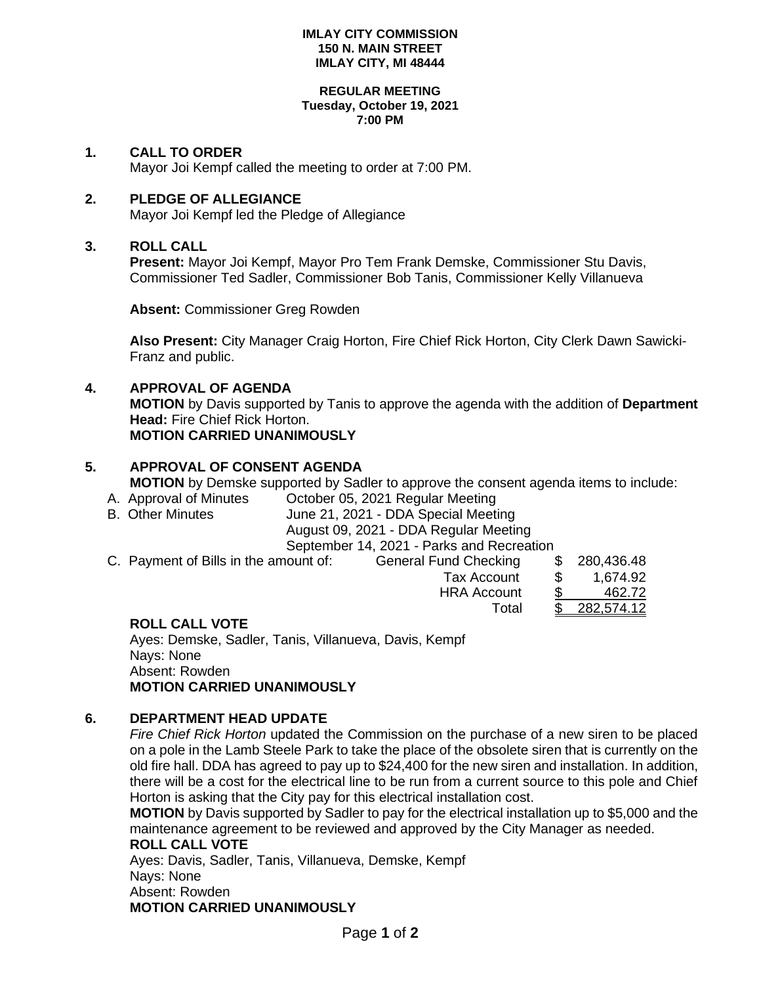#### **IMLAY CITY COMMISSION 150 N. MAIN STREET IMLAY CITY, MI 48444**

#### **REGULAR MEETING Tuesday, October 19, 2021 7:00 PM**

### **1. CALL TO ORDER**

Mayor Joi Kempf called the meeting to order at 7:00 PM.

## **2. PLEDGE OF ALLEGIANCE**

Mayor Joi Kempf led the Pledge of Allegiance

## **3. ROLL CALL**

**Present:** Mayor Joi Kempf, Mayor Pro Tem Frank Demske, Commissioner Stu Davis, Commissioner Ted Sadler, Commissioner Bob Tanis, Commissioner Kelly Villanueva

**Absent:** Commissioner Greg Rowden

**Also Present:** City Manager Craig Horton, Fire Chief Rick Horton, City Clerk Dawn Sawicki-Franz and public.

## **4. APPROVAL OF AGENDA**

**MOTION** by Davis supported by Tanis to approve the agenda with the addition of **Department Head:** Fire Chief Rick Horton. **MOTION CARRIED UNANIMOUSLY**

## **5. APPROVAL OF CONSENT AGENDA**

**MOTION** by Demske supported by Sadler to approve the consent agenda items to include:

- A. Approval of Minutes Corober 05, 2021 Regular Meeting<br>B. Other Minutes B. Coronal Meeting June 21, 2021 DDA Special Meeting
- June 21, 2021 DDA Special Meeting

August 09, 2021 - DDA Regular Meeting

September 14, 2021 - Parks and Recreation

C. Payment of Bills in the amount of: General Fund Checking

| . . a willock of Dillocht the diffeort of . | <b>POTIOTAL LATING OTIOCHITIS</b> | ັ    | <u>LUU, IUU, IU</u> |
|---------------------------------------------|-----------------------------------|------|---------------------|
|                                             | Tax Account                       | - SS | 1,674.92            |
|                                             | <b>HRA Account</b>                |      | 462.72              |
|                                             | Total                             |      | \$282,574.12        |
| ------------                                |                                   |      |                     |

### **ROLL CALL VOTE**

Ayes: Demske, Sadler, Tanis, Villanueva, Davis, Kempf Nays: None Absent: Rowden **MOTION CARRIED UNANIMOUSLY**

### **6. DEPARTMENT HEAD UPDATE**

*Fire Chief Rick Horton* updated the Commission on the purchase of a new siren to be placed on a pole in the Lamb Steele Park to take the place of the obsolete siren that is currently on the old fire hall. DDA has agreed to pay up to \$24,400 for the new siren and installation. In addition, there will be a cost for the electrical line to be run from a current source to this pole and Chief Horton is asking that the City pay for this electrical installation cost.

**MOTION** by Davis supported by Sadler to pay for the electrical installation up to \$5,000 and the maintenance agreement to be reviewed and approved by the City Manager as needed.

# **ROLL CALL VOTE**

Ayes: Davis, Sadler, Tanis, Villanueva, Demske, Kempf Nays: None Absent: Rowden **MOTION CARRIED UNANIMOUSLY**